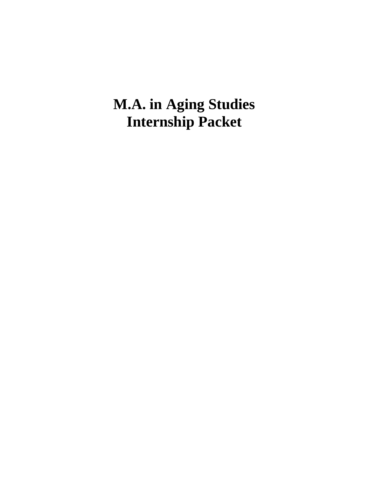# **M.A. in Aging Studies Internship Packet**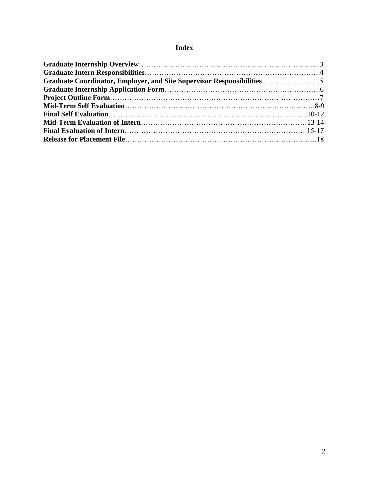# **Index**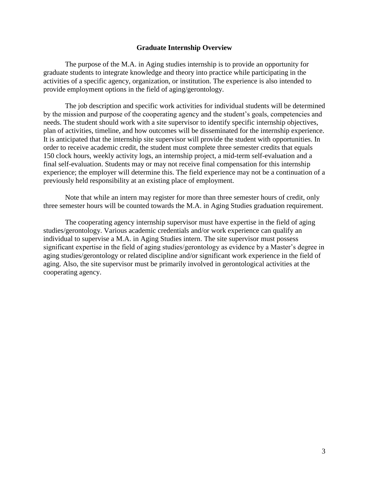#### **Graduate Internship Overview**

The purpose of the M.A. in Aging studies internship is to provide an opportunity for graduate students to integrate knowledge and theory into practice while participating in the activities of a specific agency, organization, or institution. The experience is also intended to provide employment options in the field of aging/gerontology.

The job description and specific work activities for individual students will be determined by the mission and purpose of the cooperating agency and the student's goals, competencies and needs. The student should work with a site supervisor to identify specific internship objectives, plan of activities, timeline, and how outcomes will be disseminated for the internship experience. It is anticipated that the internship site supervisor will provide the student with opportunities. In order to receive academic credit, the student must complete three semester credits that equals 150 clock hours, weekly activity logs, an internship project, a mid-term self-evaluation and a final self-evaluation. Students may or may not receive final compensation for this internship experience; the employer will determine this. The field experience may not be a continuation of a previously held responsibility at an existing place of employment.

Note that while an intern may register for more than three semester hours of credit, only three semester hours will be counted towards the M.A. in Aging Studies graduation requirement.

The cooperating agency internship supervisor must have expertise in the field of aging studies/gerontology. Various academic credentials and/or work experience can qualify an individual to supervise a M.A. in Aging Studies intern. The site supervisor must possess significant expertise in the field of aging studies/gerontology as evidence by a Master's degree in aging studies/gerontology or related discipline and/or significant work experience in the field of aging. Also, the site supervisor must be primarily involved in gerontological activities at the cooperating agency.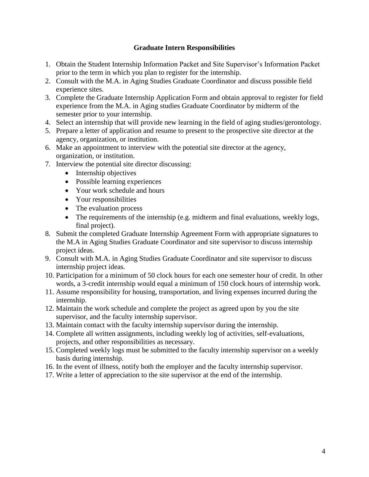# **Graduate Intern Responsibilities**

- 1. Obtain the Student Internship Information Packet and Site Supervisor's Information Packet prior to the term in which you plan to register for the internship.
- 2. Consult with the M.A. in Aging Studies Graduate Coordinator and discuss possible field experience sites.
- 3. Complete the Graduate Internship Application Form and obtain approval to register for field experience from the M.A. in Aging studies Graduate Coordinator by midterm of the semester prior to your internship.
- 4. Select an internship that will provide new learning in the field of aging studies/gerontology.
- 5. Prepare a letter of application and resume to present to the prospective site director at the agency, organization, or institution.
- 6. Make an appointment to interview with the potential site director at the agency, organization, or institution.
- 7. Interview the potential site director discussing:
	- Internship objectives
	- Possible learning experiences
	- Your work schedule and hours
	- Your responsibilities
	- The evaluation process
	- The requirements of the internship (e.g. midterm and final evaluations, weekly logs, final project).
- 8. Submit the completed Graduate Internship Agreement Form with appropriate signatures to the M.A in Aging Studies Graduate Coordinator and site supervisor to discuss internship project ideas.
- 9. Consult with M.A. in Aging Studies Graduate Coordinator and site supervisor to discuss internship project ideas.
- 10. Participation for a minimum of 50 clock hours for each one semester hour of credit. In other words, a 3-credit internship would equal a minimum of 150 clock hours of internship work.
- 11. Assume responsibility for housing, transportation, and living expenses incurred during the internship.
- 12. Maintain the work schedule and complete the project as agreed upon by you the site supervisor, and the faculty internship supervisor.
- 13. Maintain contact with the faculty internship supervisor during the internship.
- 14. Complete all written assignments, including weekly log of activities, self-evaluations, projects, and other responsibilities as necessary.
- 15. Completed weekly logs must be submitted to the faculty internship supervisor on a weekly basis during internship.
- 16. In the event of illness, notify both the employer and the faculty internship supervisor.
- 17. Write a letter of appreciation to the site supervisor at the end of the internship.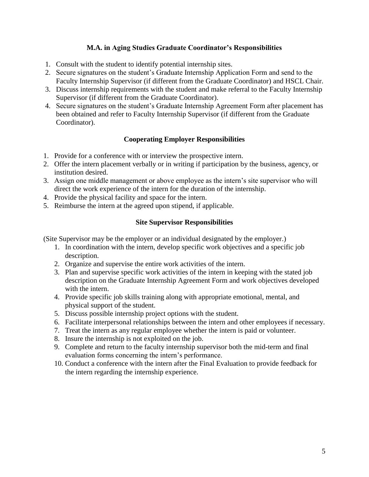# **M.A. in Aging Studies Graduate Coordinator's Responsibilities**

- 1. Consult with the student to identify potential internship sites.
- 2. Secure signatures on the student's Graduate Internship Application Form and send to the Faculty Internship Supervisor (if different from the Graduate Coordinator) and HSCL Chair.
- 3. Discuss internship requirements with the student and make referral to the Faculty Internship Supervisor (if different from the Graduate Coordinator).
- 4. Secure signatures on the student's Graduate Internship Agreement Form after placement has been obtained and refer to Faculty Internship Supervisor (if different from the Graduate Coordinator).

# **Cooperating Employer Responsibilities**

- 1. Provide for a conference with or interview the prospective intern.
- 2. Offer the intern placement verbally or in writing if participation by the business, agency, or institution desired.
- 3. Assign one middle management or above employee as the intern's site supervisor who will direct the work experience of the intern for the duration of the internship.
- 4. Provide the physical facility and space for the intern.
- 5. Reimburse the intern at the agreed upon stipend, if applicable.

# **Site Supervisor Responsibilities**

(Site Supervisor may be the employer or an individual designated by the employer.)

- 1. In coordination with the intern, develop specific work objectives and a specific job description.
- 2. Organize and supervise the entire work activities of the intern.
- 3. Plan and supervise specific work activities of the intern in keeping with the stated job description on the Graduate Internship Agreement Form and work objectives developed with the intern.
- 4. Provide specific job skills training along with appropriate emotional, mental, and physical support of the student.
- 5. Discuss possible internship project options with the student.
- 6. Facilitate interpersonal relationships between the intern and other employees if necessary.
- 7. Treat the intern as any regular employee whether the intern is paid or volunteer.
- 8. Insure the internship is not exploited on the job.
- 9. Complete and return to the faculty internship supervisor both the mid-term and final evaluation forms concerning the intern's performance.
- 10. Conduct a conference with the intern after the Final Evaluation to provide feedback for the intern regarding the internship experience.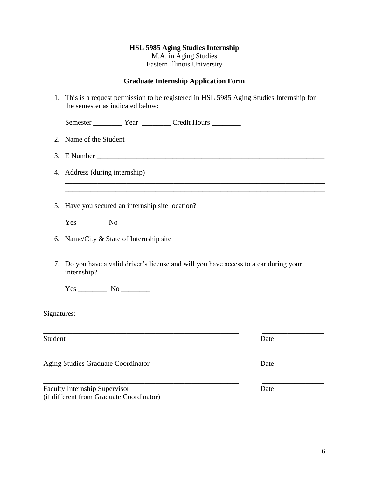# **HSL 5985 Aging Studies Internship** M.A. in Aging Studies Eastern Illinois University

# **Graduate Internship Application Form**

| 1.          | This is a request permission to be registered in HSL 5985 Aging Studies Internship for<br>the semester as indicated below: |      |
|-------------|----------------------------------------------------------------------------------------------------------------------------|------|
|             |                                                                                                                            |      |
|             |                                                                                                                            |      |
|             |                                                                                                                            |      |
|             | 4. Address (during internship)                                                                                             |      |
|             | 5. Have you secured an internship site location?                                                                           |      |
|             |                                                                                                                            |      |
|             | 6. Name/City & State of Internship site                                                                                    |      |
| 7.          | Do you have a valid driver's license and will you have access to a car during your<br>internship?                          |      |
|             |                                                                                                                            |      |
| Signatures: |                                                                                                                            |      |
| Student     |                                                                                                                            | Date |
|             | Aging Studies Graduate Coordinator                                                                                         | Date |
|             | <b>Faculty Internship Supervisor</b><br>(if different from Graduate Coordinator)                                           | Date |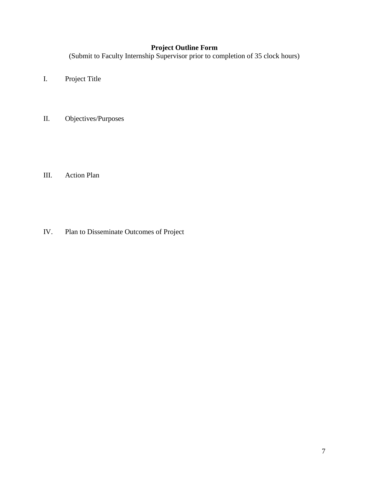# **Project Outline Form**

(Submit to Faculty Internship Supervisor prior to completion of 35 clock hours)

- I. Project Title
- II. Objectives/Purposes

III. Action Plan

IV. Plan to Disseminate Outcomes of Project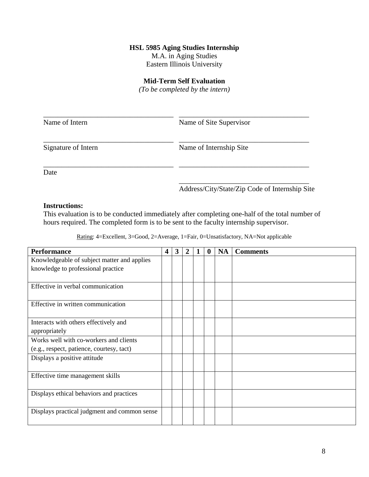M.A. in Aging Studies

Eastern Illinois University

# **Mid-Term Self Evaluation**

*(To be completed by the intern)*

| Name of Intern      | Name of Site Supervisor |
|---------------------|-------------------------|
| Signature of Intern | Name of Internship Site |
| Date                |                         |

Address/City/State/Zip Code of Internship Site

# **Instructions:**

This evaluation is to be conducted immediately after completing one-half of the total number of hours required. The completed form is to be sent to the faculty internship supervisor.

| <b>Performance</b>                           | 4 | $\mathbf{3}$ | $\overline{2}$ | $\bf{0}$ | <b>NA</b> | <b>Comments</b> |
|----------------------------------------------|---|--------------|----------------|----------|-----------|-----------------|
| Knowledgeable of subject matter and applies  |   |              |                |          |           |                 |
| knowledge to professional practice           |   |              |                |          |           |                 |
|                                              |   |              |                |          |           |                 |
| Effective in verbal communication            |   |              |                |          |           |                 |
|                                              |   |              |                |          |           |                 |
| Effective in written communication           |   |              |                |          |           |                 |
|                                              |   |              |                |          |           |                 |
| Interacts with others effectively and        |   |              |                |          |           |                 |
| appropriately                                |   |              |                |          |           |                 |
| Works well with co-workers and clients       |   |              |                |          |           |                 |
| (e.g., respect, patience, courtesy, tact)    |   |              |                |          |           |                 |
| Displays a positive attitude                 |   |              |                |          |           |                 |
|                                              |   |              |                |          |           |                 |
| Effective time management skills             |   |              |                |          |           |                 |
|                                              |   |              |                |          |           |                 |
| Displays ethical behaviors and practices     |   |              |                |          |           |                 |
|                                              |   |              |                |          |           |                 |
| Displays practical judgment and common sense |   |              |                |          |           |                 |
|                                              |   |              |                |          |           |                 |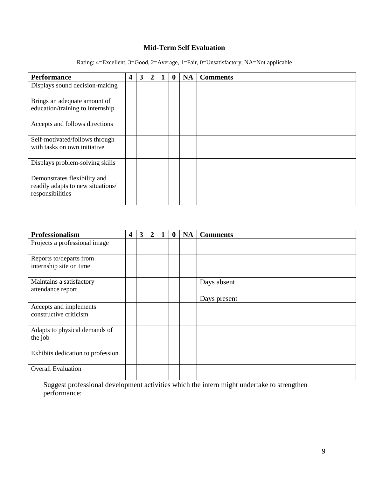# **Mid-Term Self Evaluation**

Rating: 4=Excellent, 3=Good, 2=Average, 1=Fair, 0=Unsatisfactory, NA=Not applicable

| <b>Performance</b>                                                                    | 4 | 3 | $\overline{2}$ | $\bf{0}$ | <b>NA</b> | <b>Comments</b> |
|---------------------------------------------------------------------------------------|---|---|----------------|----------|-----------|-----------------|
| Displays sound decision-making                                                        |   |   |                |          |           |                 |
| Brings an adequate amount of<br>education/training to internship                      |   |   |                |          |           |                 |
| Accepts and follows directions                                                        |   |   |                |          |           |                 |
| Self-motivated/follows through<br>with tasks on own initiative                        |   |   |                |          |           |                 |
| Displays problem-solving skills                                                       |   |   |                |          |           |                 |
| Demonstrates flexibility and<br>readily adapts to new situations/<br>responsibilities |   |   |                |          |           |                 |

| Professionalism                                    | 4 | $\mathbf{3}$ | 2 | $\bf{0}$ | <b>NA</b> | <b>Comments</b> |
|----------------------------------------------------|---|--------------|---|----------|-----------|-----------------|
| Projects a professional image                      |   |              |   |          |           |                 |
| Reports to/departs from<br>internship site on time |   |              |   |          |           |                 |
| Maintains a satisfactory<br>attendance report      |   |              |   |          |           | Days absent     |
| Accepts and implements<br>constructive criticism   |   |              |   |          |           | Days present    |
| Adapts to physical demands of<br>the job           |   |              |   |          |           |                 |
| Exhibits dedication to profession                  |   |              |   |          |           |                 |
| <b>Overall Evaluation</b>                          |   |              |   |          |           |                 |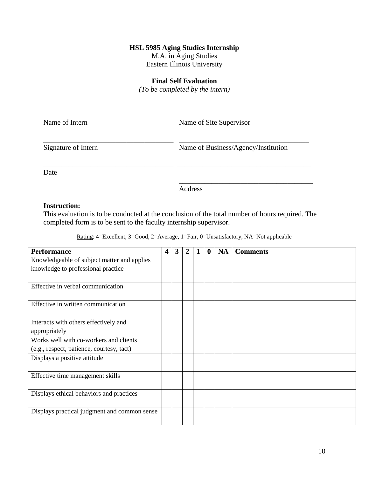M.A. in Aging Studies

Eastern Illinois University

# **Final Self Evaluation**

*(To be completed by the intern)*

| Name of Intern      | Name of Site Supervisor             |
|---------------------|-------------------------------------|
| Signature of Intern | Name of Business/Agency/Institution |
| Date                |                                     |

Address

#### **Instruction:**

This evaluation is to be conducted at the conclusion of the total number of hours required. The completed form is to be sent to the faculty internship supervisor.

| <b>Performance</b>                           | $\overline{\mathbf{4}}$ | $\mathbf{3}$ | $\overline{2}$ | $\bf{0}$ | <b>NA</b> | <b>Comments</b> |
|----------------------------------------------|-------------------------|--------------|----------------|----------|-----------|-----------------|
| Knowledgeable of subject matter and applies  |                         |              |                |          |           |                 |
| knowledge to professional practice           |                         |              |                |          |           |                 |
|                                              |                         |              |                |          |           |                 |
| Effective in verbal communication            |                         |              |                |          |           |                 |
|                                              |                         |              |                |          |           |                 |
| Effective in written communication           |                         |              |                |          |           |                 |
|                                              |                         |              |                |          |           |                 |
| Interacts with others effectively and        |                         |              |                |          |           |                 |
| appropriately                                |                         |              |                |          |           |                 |
| Works well with co-workers and clients       |                         |              |                |          |           |                 |
| (e.g., respect, patience, courtesy, tact)    |                         |              |                |          |           |                 |
| Displays a positive attitude                 |                         |              |                |          |           |                 |
|                                              |                         |              |                |          |           |                 |
| Effective time management skills             |                         |              |                |          |           |                 |
|                                              |                         |              |                |          |           |                 |
| Displays ethical behaviors and practices     |                         |              |                |          |           |                 |
|                                              |                         |              |                |          |           |                 |
| Displays practical judgment and common sense |                         |              |                |          |           |                 |
|                                              |                         |              |                |          |           |                 |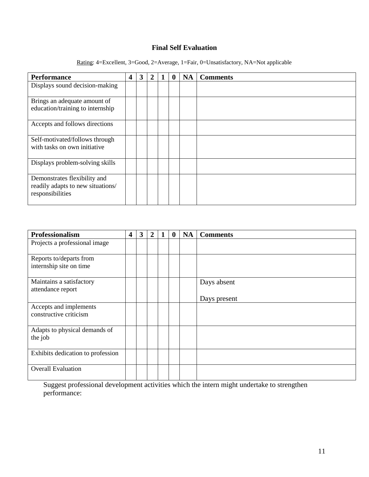# **Final Self Evaluation**

Rating: 4=Excellent, 3=Good, 2=Average, 1=Fair, 0=Unsatisfactory, NA=Not applicable

| <b>Performance</b>                                                                    | 4 | 3 | $\overline{2}$ | O | <b>NA</b> | <b>Comments</b> |
|---------------------------------------------------------------------------------------|---|---|----------------|---|-----------|-----------------|
| Displays sound decision-making                                                        |   |   |                |   |           |                 |
| Brings an adequate amount of<br>education/training to internship                      |   |   |                |   |           |                 |
| Accepts and follows directions                                                        |   |   |                |   |           |                 |
| Self-motivated/follows through<br>with tasks on own initiative                        |   |   |                |   |           |                 |
| Displays problem-solving skills                                                       |   |   |                |   |           |                 |
| Demonstrates flexibility and<br>readily adapts to new situations/<br>responsibilities |   |   |                |   |           |                 |

| Professionalism                                    | 4 | 3 | $\overline{2}$ | $\boldsymbol{0}$ | <b>NA</b> | <b>Comments</b>             |
|----------------------------------------------------|---|---|----------------|------------------|-----------|-----------------------------|
| Projects a professional image                      |   |   |                |                  |           |                             |
| Reports to/departs from<br>internship site on time |   |   |                |                  |           |                             |
| Maintains a satisfactory<br>attendance report      |   |   |                |                  |           | Days absent<br>Days present |
| Accepts and implements<br>constructive criticism   |   |   |                |                  |           |                             |
| Adapts to physical demands of<br>the job           |   |   |                |                  |           |                             |
| Exhibits dedication to profession                  |   |   |                |                  |           |                             |
| <b>Overall Evaluation</b>                          |   |   |                |                  |           |                             |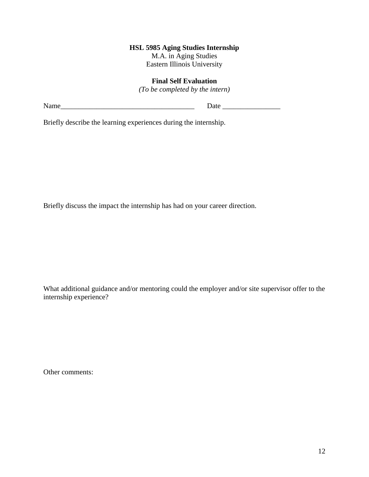M.A. in Aging Studies Eastern Illinois University

# **Final Self Evaluation**

*(To be completed by the intern)*

Name\_\_\_\_\_\_\_\_\_\_\_\_\_\_\_\_\_\_\_\_\_\_\_\_\_\_\_\_\_\_\_\_\_\_\_\_\_ Date \_\_\_\_\_\_\_\_\_\_\_\_\_\_\_\_

Briefly describe the learning experiences during the internship.

Briefly discuss the impact the internship has had on your career direction.

What additional guidance and/or mentoring could the employer and/or site supervisor offer to the internship experience?

Other comments: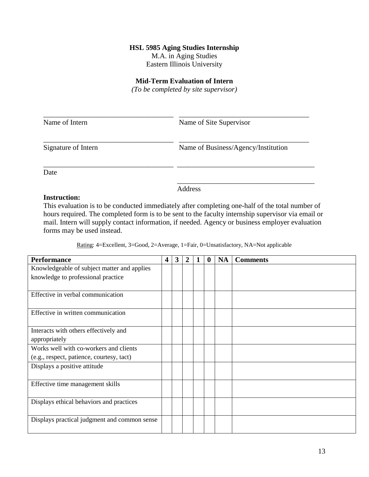M.A. in Aging Studies

Eastern Illinois University

#### **Mid-Term Evaluation of Intern**

*(To be completed by site supervisor)*

| Name of Intern      | Name of Site Supervisor             |
|---------------------|-------------------------------------|
| Signature of Intern | Name of Business/Agency/Institution |
| Date                |                                     |

Address

# **Instruction:**

This evaluation is to be conducted immediately after completing one-half of the total number of hours required. The completed form is to be sent to the faculty internship supervisor via email or mail. Intern will supply contact information, if needed. Agency or business employer evaluation forms may be used instead.

| <b>Performance</b>                           | $\overline{\mathbf{4}}$ | $\overline{\mathbf{3}}$ | $\overline{2}$ | $\bf{0}$ | <b>NA</b> | <b>Comments</b> |
|----------------------------------------------|-------------------------|-------------------------|----------------|----------|-----------|-----------------|
| Knowledgeable of subject matter and applies  |                         |                         |                |          |           |                 |
| knowledge to professional practice           |                         |                         |                |          |           |                 |
|                                              |                         |                         |                |          |           |                 |
| Effective in verbal communication            |                         |                         |                |          |           |                 |
|                                              |                         |                         |                |          |           |                 |
| Effective in written communication           |                         |                         |                |          |           |                 |
|                                              |                         |                         |                |          |           |                 |
| Interacts with others effectively and        |                         |                         |                |          |           |                 |
| appropriately                                |                         |                         |                |          |           |                 |
| Works well with co-workers and clients       |                         |                         |                |          |           |                 |
| (e.g., respect, patience, courtesy, tact)    |                         |                         |                |          |           |                 |
| Displays a positive attitude                 |                         |                         |                |          |           |                 |
|                                              |                         |                         |                |          |           |                 |
| Effective time management skills             |                         |                         |                |          |           |                 |
|                                              |                         |                         |                |          |           |                 |
| Displays ethical behaviors and practices     |                         |                         |                |          |           |                 |
|                                              |                         |                         |                |          |           |                 |
| Displays practical judgment and common sense |                         |                         |                |          |           |                 |
|                                              |                         |                         |                |          |           |                 |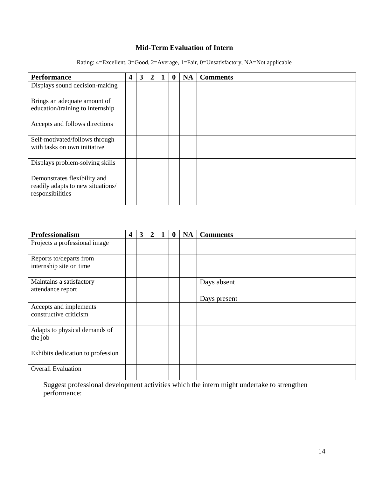# **Mid-Term Evaluation of Intern**

Rating: 4=Excellent, 3=Good, 2=Average, 1=Fair, 0=Unsatisfactory, NA=Not applicable

| <b>Performance</b>                                                                    | 4 | 3 | $\mathbf{2}$ | 0 | <b>NA</b> | <b>Comments</b> |
|---------------------------------------------------------------------------------------|---|---|--------------|---|-----------|-----------------|
| Displays sound decision-making                                                        |   |   |              |   |           |                 |
| Brings an adequate amount of<br>education/training to internship                      |   |   |              |   |           |                 |
| Accepts and follows directions                                                        |   |   |              |   |           |                 |
| Self-motivated/follows through<br>with tasks on own initiative                        |   |   |              |   |           |                 |
| Displays problem-solving skills                                                       |   |   |              |   |           |                 |
| Demonstrates flexibility and<br>readily adapts to new situations/<br>responsibilities |   |   |              |   |           |                 |

| Professionalism                                    | 4 | 3 | $\overline{2}$ | $\bf{0}$ | <b>NA</b> | <b>Comments</b>             |
|----------------------------------------------------|---|---|----------------|----------|-----------|-----------------------------|
| Projects a professional image                      |   |   |                |          |           |                             |
| Reports to/departs from<br>internship site on time |   |   |                |          |           |                             |
| Maintains a satisfactory<br>attendance report      |   |   |                |          |           | Days absent<br>Days present |
| Accepts and implements<br>constructive criticism   |   |   |                |          |           |                             |
| Adapts to physical demands of<br>the job           |   |   |                |          |           |                             |
| Exhibits dedication to profession                  |   |   |                |          |           |                             |
| <b>Overall Evaluation</b>                          |   |   |                |          |           |                             |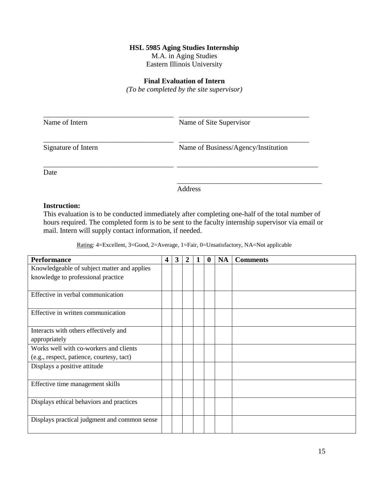M.A. in Aging Studies

Eastern Illinois University

# **Final Evaluation of Intern**

*(To be completed by the site supervisor)*

| Name of Intern      | Name of Site Supervisor             |
|---------------------|-------------------------------------|
| Signature of Intern | Name of Business/Agency/Institution |
| Date                |                                     |

Address

# **Instruction:**

This evaluation is to be conducted immediately after completing one-half of the total number of hours required. The completed form is to be sent to the faculty internship supervisor via email or mail. Intern will supply contact information, if needed.

| <b>Performance</b>                           | $\overline{\mathbf{4}}$ | $\mathbf{3}$ | $\overline{2}$ | $\bf{0}$ | <b>NA</b> | <b>Comments</b> |
|----------------------------------------------|-------------------------|--------------|----------------|----------|-----------|-----------------|
| Knowledgeable of subject matter and applies  |                         |              |                |          |           |                 |
| knowledge to professional practice           |                         |              |                |          |           |                 |
|                                              |                         |              |                |          |           |                 |
| Effective in verbal communication            |                         |              |                |          |           |                 |
|                                              |                         |              |                |          |           |                 |
| Effective in written communication           |                         |              |                |          |           |                 |
|                                              |                         |              |                |          |           |                 |
| Interacts with others effectively and        |                         |              |                |          |           |                 |
| appropriately                                |                         |              |                |          |           |                 |
| Works well with co-workers and clients       |                         |              |                |          |           |                 |
| (e.g., respect, patience, courtesy, tact)    |                         |              |                |          |           |                 |
| Displays a positive attitude                 |                         |              |                |          |           |                 |
|                                              |                         |              |                |          |           |                 |
| Effective time management skills             |                         |              |                |          |           |                 |
|                                              |                         |              |                |          |           |                 |
| Displays ethical behaviors and practices     |                         |              |                |          |           |                 |
|                                              |                         |              |                |          |           |                 |
| Displays practical judgment and common sense |                         |              |                |          |           |                 |
|                                              |                         |              |                |          |           |                 |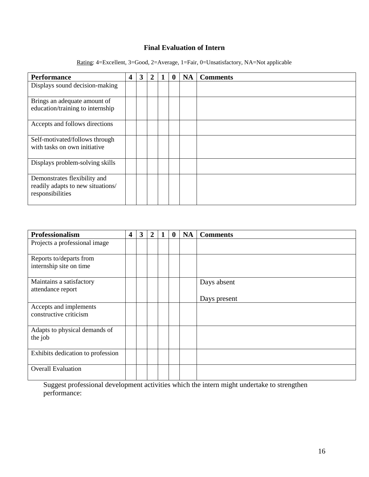# **Final Evaluation of Intern**

Rating: 4=Excellent, 3=Good, 2=Average, 1=Fair, 0=Unsatisfactory, NA=Not applicable

| <b>Performance</b>                                                                    | 4 | 3 | $\mathbf{2}$ | 0 | <b>NA</b> | <b>Comments</b> |
|---------------------------------------------------------------------------------------|---|---|--------------|---|-----------|-----------------|
| Displays sound decision-making                                                        |   |   |              |   |           |                 |
| Brings an adequate amount of<br>education/training to internship                      |   |   |              |   |           |                 |
| Accepts and follows directions                                                        |   |   |              |   |           |                 |
| Self-motivated/follows through<br>with tasks on own initiative                        |   |   |              |   |           |                 |
| Displays problem-solving skills                                                       |   |   |              |   |           |                 |
| Demonstrates flexibility and<br>readily adapts to new situations/<br>responsibilities |   |   |              |   |           |                 |

| Professionalism                                    | 4 | 3 | 2 | $\boldsymbol{0}$ | <b>NA</b> | <b>Comments</b>             |
|----------------------------------------------------|---|---|---|------------------|-----------|-----------------------------|
| Projects a professional image                      |   |   |   |                  |           |                             |
| Reports to/departs from<br>internship site on time |   |   |   |                  |           |                             |
| Maintains a satisfactory<br>attendance report      |   |   |   |                  |           | Days absent<br>Days present |
| Accepts and implements<br>constructive criticism   |   |   |   |                  |           |                             |
| Adapts to physical demands of<br>the job           |   |   |   |                  |           |                             |
| Exhibits dedication to profession                  |   |   |   |                  |           |                             |
| <b>Overall Evaluation</b>                          |   |   |   |                  |           |                             |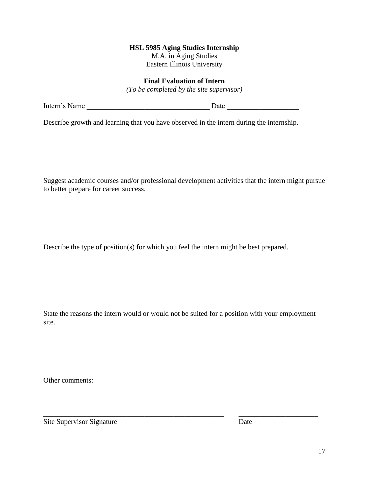M.A. in Aging Studies Eastern Illinois University

# **Final Evaluation of Intern**

*(To be completed by the site supervisor)*

Describe growth and learning that you have observed in the intern during the internship.

Suggest academic courses and/or professional development activities that the intern might pursue to better prepare for career success.

Describe the type of position(s) for which you feel the intern might be best prepared.

State the reasons the intern would or would not be suited for a position with your employment site.

\_\_\_\_\_\_\_\_\_\_\_\_\_\_\_\_\_\_\_\_\_\_\_\_\_\_\_\_\_\_\_\_\_\_\_\_\_\_\_\_\_\_\_\_\_\_\_\_\_\_ \_\_\_\_\_\_\_\_\_\_\_\_\_\_\_\_\_\_\_\_\_\_

Other comments:

Site Supervisor Signature Date